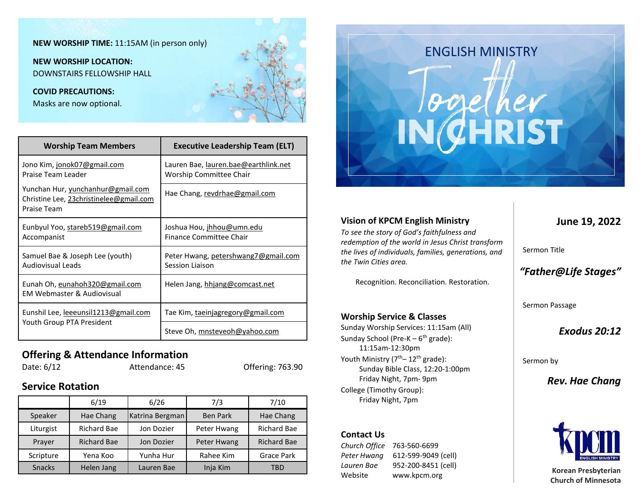### **NEW WORSHIP TIME:** 11:15AM (in person only)

**NEW WORSHIP LOCATION:** DOWNSTAIRS FELLOWSHIP HALL

#### **COVID PRECAUTIONS:**

Masks are now optional.

| <b>Worship Team Members</b>                                                                 | <b>Executive Leadership Team (ELT)</b>                                 |  |
|---------------------------------------------------------------------------------------------|------------------------------------------------------------------------|--|
| Jono Kim, jonok07@gmail.com<br>Praise Team Leader                                           | Lauren Bae, lauren.bae@earthlink.net<br><b>Worship Committee Chair</b> |  |
| Yunchan Hur, yunchanhur@gmail.com<br>Christine Lee, 23christinelee@gmail.com<br>Praise Team | Hae Chang, revdrhae@gmail.com                                          |  |
| Eunbyul Yoo, stareb519@gmail.com<br>Accompanist                                             | Joshua Hou, jhhou@umn.edu<br>Finance Committee Chair                   |  |
| Samuel Bae & Joseph Lee (youth)<br>Audiovisual Leads                                        | Peter Hwang, petershwang7@gmail.com<br>Session Liaison                 |  |
| Eunah Oh, eunahoh320@gmail.com<br><b>EM Webmaster &amp; Audiovisual</b>                     | Helen Jang, hhjang@comcast.net                                         |  |
| Eunshil Lee, leeeunsil1213@gmail.com                                                        | Tae Kim, <u>taeinjagregory@gmail.com</u>                               |  |
| Youth Group PTA President                                                                   | Steve Oh, mnsteveoh@yahoo.com                                          |  |

### **Offering & Attendance Information**

# Date: 6/12 Attendance: 45 Offering: 763.90

### **Service Rotation**

|               | 6/19               | 6/26            | 7/3             | 7/10               |
|---------------|--------------------|-----------------|-----------------|--------------------|
| Speaker       | Hae Chang          | Katrina Bergman | <b>Ben Park</b> | Hae Chang          |
| Liturgist     | Richard Bae        | Jon Dozier      | Peter Hwang     | <b>Richard Bae</b> |
| Prayer        | <b>Richard Bae</b> | Jon Dozier      | Peter Hwang     | <b>Richard Bae</b> |
| Scripture     | Yena Koo           | Yunha Hur       | Rahee Kim       | <b>Grace Park</b>  |
| <b>Snacks</b> | Helen Jang         | Lauren Bae      | Inja Kim        | TBD                |



### Sermon Title Sermon Passage **Vision of KPCM English Ministry** *To see the story of God's faithfulness and redemption of the world in Jesus Christ transform the lives of individuals, families, generations, and the Twin Cities area.* Recognition. Reconciliation. Restoration. **Worship Service & Classes**

Sunday Worship Services: 11:15am (All) Sunday School (Pre-K - 6<sup>th</sup> grade): 11:15am-12:30pm Youth Ministry (7<sup>th</sup>– 12<sup>th</sup> grade): Sunday Bible Class, 12:20-1:00pm Friday Night, 7pm- 9pm College (Timothy Group): Friday Night, 7pm

### **Contact Us**

*Church Office* 763-560-6699 *Peter Hwang* 612-599-9049 (cell) *Lauren Bae* 952-200-8451 (cell) Website www.kpcm.org

**June 19, 2022**

# *"Father@Life Stages"*

*Exodus 20:12* 

Sermon by

*Rev. Hae Chang*



**Korean Presbyterian Church of Minnesota**